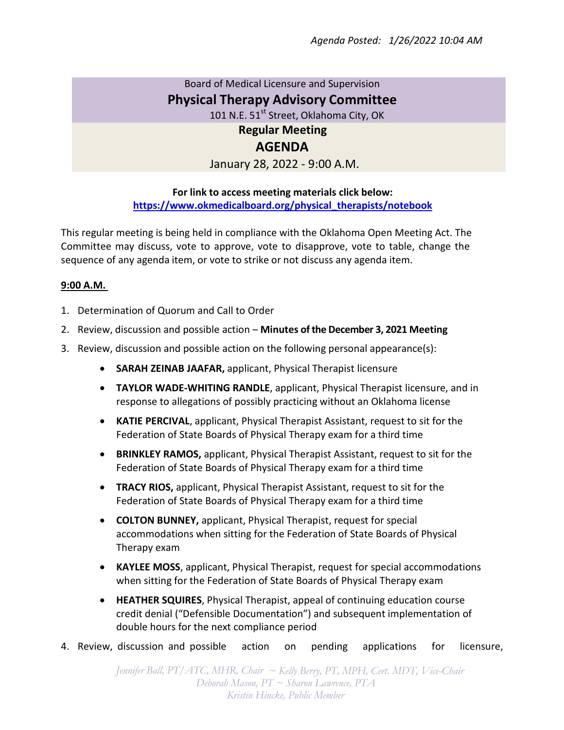## Board of Medical Licensure and Supervision **Physical Therapy Advisory Committee**

101 N.E. 51<sup>st</sup> Street, Oklahoma City, OK

**Regular Meeting**

## **AGENDA**

January 28, 2022 - 9:00 A.M.

## **For link to access meeting materials click below: https://www.okmedicalboard.org/physical\_therapists/notebook**

This regular meeting is being held in compliance with the Oklahoma Open Meeting Act. The Committee may discuss, vote to approve, vote to disapprove, vote to table, change the sequence of any agenda item, or vote to strike or not discuss any agenda item.

## **9:00 A.M.**

- 1. Determination of Quorum and Call to Order
- 2. Review, discussion and possible action **Minutes of the December 3, 2021 Meeting**
- 3. Review, discussion and possible action on the following personal appearance(s):
	- **SARAH ZEINAB JAAFAR,** applicant, Physical Therapist licensure
	- **TAYLOR WADE-WHITING RANDLE**, applicant, Physical Therapist licensure, and in response to allegations of possibly practicing without an Oklahoma license
	- **KATIE PERCIVAL**, applicant, Physical Therapist Assistant, request to sit for the Federation of State Boards of Physical Therapy exam for a third time
	- **BRINKLEY RAMOS,** applicant, Physical Therapist Assistant, request to sit for the Federation of State Boards of Physical Therapy exam for a third time
	- **TRACY RIOS,** applicant, Physical Therapist Assistant, request to sit for the Federation of State Boards of Physical Therapy exam for a third time
	- **COLTON BUNNEY,** applicant, Physical Therapist, request for special accommodations when sitting for the Federation of State Boards of Physical Therapy exam
	- **KAYLEE MOSS**, applicant, Physical Therapist, request for special accommodations when sitting for the Federation of State Boards of Physical Therapy exam
	- **HEATHER SQUIRES**, Physical Therapist, appeal of continuing education course credit denial ("Defensible Documentation") and subsequent implementation of double hours for the next compliance period
- 4. Review, discussion and possible action on pending applications for licensure,